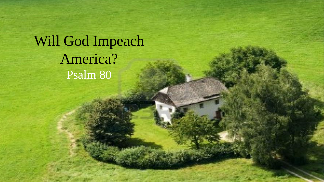Will God Impeach America? Psalm 80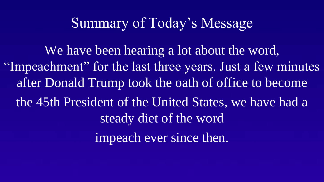We have been hearing a lot about the word, "Impeachment" for the last three years. Just a few minutes after Donald Trump took the oath of office to become the 45th President of the United States, we have had a steady diet of the word impeach ever since then.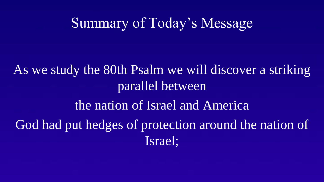As we study the 80th Psalm we will discover a striking parallel between the nation of Israel and America God had put hedges of protection around the nation of Israel;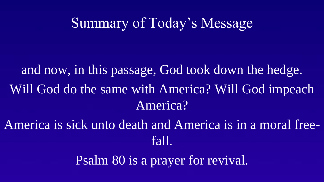and now, in this passage, God took down the hedge. Will God do the same with America? Will God impeach America?

America is sick unto death and America is in a moral freefall.

Psalm 80 is a prayer for revival.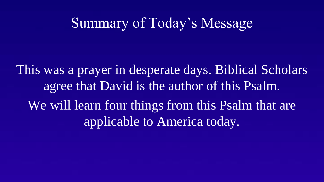This was a prayer in desperate days. Biblical Scholars agree that David is the author of this Psalm. We will learn four things from this Psalm that are applicable to America today.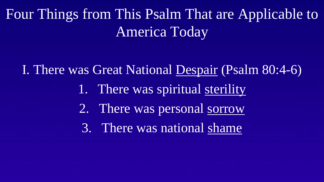I. There was Great National Despair (Psalm 80:4-6)

- 1. There was spiritual sterility
- 2. There was personal sorrow
- 3. There was national shame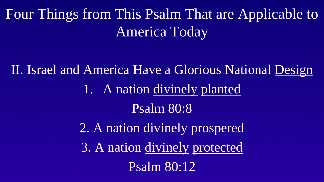II. Israel and America Have a Glorious National Design 1. A nation divinely planted Psalm 80:8 2. A nation divinely prospered

3. A nation divinely protected

Psalm 80:12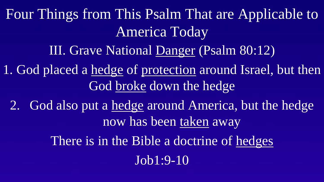III. Grave National Danger (Psalm 80:12) 1. God placed a hedge of protection around Israel, but then God broke down the hedge 2. God also put a hedge around America, but the hedge now has been taken away There is in the Bible a doctrine of hedges Job1:9-10 Four Things from This Psalm That are Applicable to America Today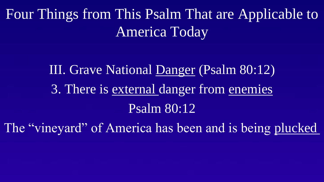# III. Grave National Danger (Psalm 80:12) 3. There is external danger from enemies Psalm 80:12

The "vineyard" of America has been and is being plucked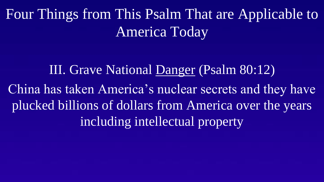III. Grave National Danger (Psalm 80:12) China has taken America's nuclear secrets and they have plucked billions of dollars from America over the years including intellectual property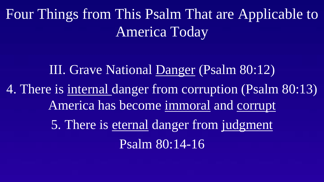III. Grave National Danger (Psalm 80:12) 4. There is internal danger from corruption (Psalm 80:13) America has become immoral and corrupt 5. There is eternal danger from judgment Psalm 80:14-16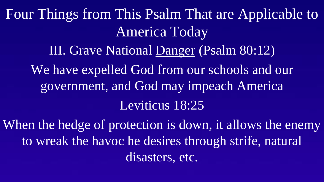III. Grave National Danger (Psalm 80:12) We have expelled God from our schools and our government, and God may impeach America Leviticus 18:25 Four Things from This Psalm That are Applicable to America Today

When the hedge of protection is down, it allows the enemy to wreak the havoc he desires through strife, natural disasters, etc.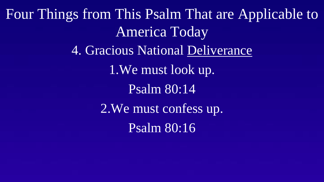4. Gracious National Deliverance 1.We must look up. Psalm 80:14 2.We must confess up. Psalm 80:16 Four Things from This Psalm That are Applicable to America Today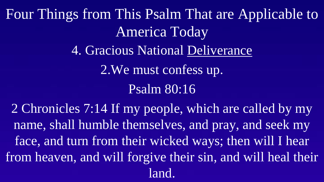4. Gracious National Deliverance 2.We must confess up. Psalm 80:16 Four Things from This Psalm That are Applicable to America Today

2 Chronicles 7:14 If my people, which are called by my name, shall humble themselves, and pray, and seek my face, and turn from their wicked ways; then will I hear from heaven, and will forgive their sin, and will heal their land.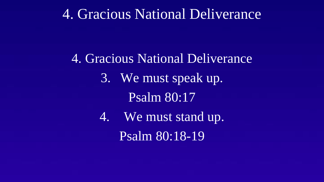#### 4. Gracious National Deliverance

4. Gracious National Deliverance 3. We must speak up. Psalm 80:17 4. We must stand up.

Psalm 80:18-19